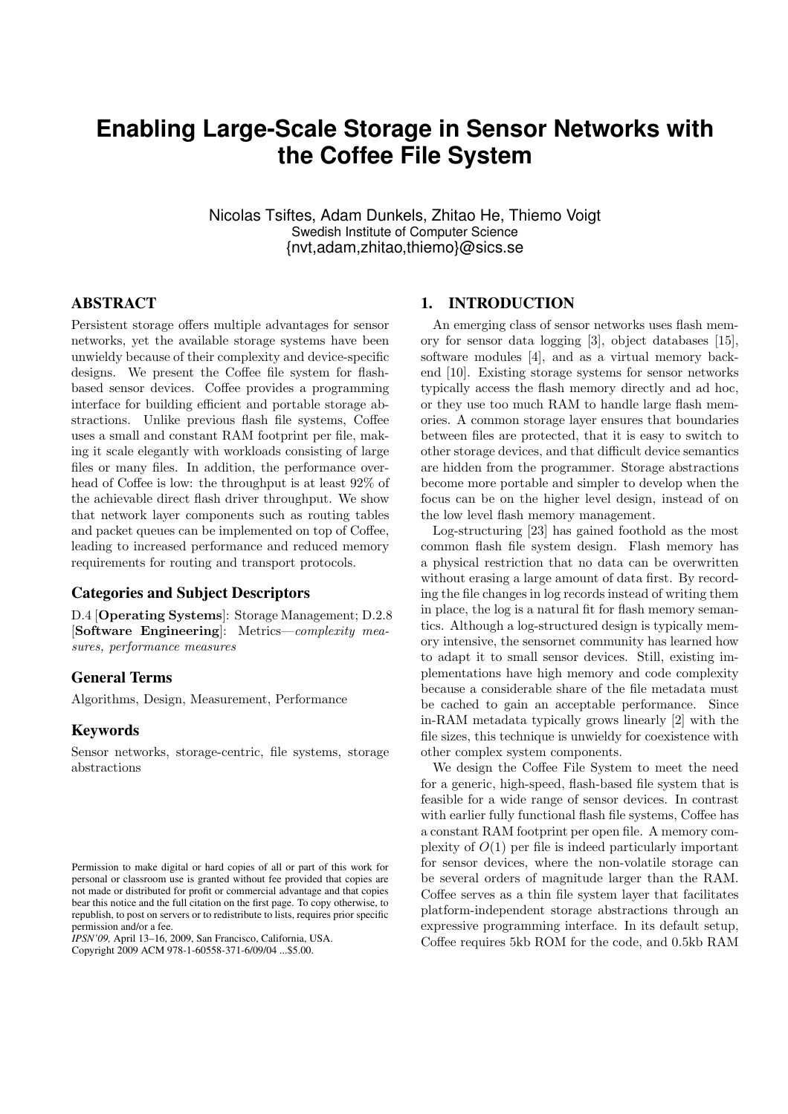# **Enabling Large-Scale Storage in Sensor Networks with the Coffee File System**

Nicolas Tsiftes, Adam Dunkels, Zhitao He, Thiemo Voigt Swedish Institute of Computer Science {nvt,adam,zhitao,thiemo}@sics.se

# ABSTRACT

Persistent storage offers multiple advantages for sensor networks, yet the available storage systems have been unwieldy because of their complexity and device-specific designs. We present the Coffee file system for flashbased sensor devices. Coffee provides a programming interface for building efficient and portable storage abstractions. Unlike previous flash file systems, Coffee uses a small and constant RAM footprint per file, making it scale elegantly with workloads consisting of large files or many files. In addition, the performance overhead of Coffee is low: the throughput is at least 92% of the achievable direct flash driver throughput. We show that network layer components such as routing tables and packet queues can be implemented on top of Coffee, leading to increased performance and reduced memory requirements for routing and transport protocols.

#### Categories and Subject Descriptors

D.4 [Operating Systems]: Storage Management; D.2.8 [Software Engineering]: Metrics—complexity measures, performance measures

#### General Terms

Algorithms, Design, Measurement, Performance

#### Keywords

Sensor networks, storage-centric, file systems, storage abstractions

*IPSN'09,* April 13–16, 2009, San Francisco, California, USA. Copyright 2009 ACM 978-1-60558-371-6/09/04 ...\$5.00.

#### 1. INTRODUCTION

An emerging class of sensor networks uses flash memory for sensor data logging [3], object databases [15], software modules [4], and as a virtual memory backend [10]. Existing storage systems for sensor networks typically access the flash memory directly and ad hoc, or they use too much RAM to handle large flash memories. A common storage layer ensures that boundaries between files are protected, that it is easy to switch to other storage devices, and that difficult device semantics are hidden from the programmer. Storage abstractions become more portable and simpler to develop when the focus can be on the higher level design, instead of on the low level flash memory management.

Log-structuring [23] has gained foothold as the most common flash file system design. Flash memory has a physical restriction that no data can be overwritten without erasing a large amount of data first. By recording the file changes in log records instead of writing them in place, the log is a natural fit for flash memory semantics. Although a log-structured design is typically memory intensive, the sensornet community has learned how to adapt it to small sensor devices. Still, existing implementations have high memory and code complexity because a considerable share of the file metadata must be cached to gain an acceptable performance. Since in-RAM metadata typically grows linearly [2] with the file sizes, this technique is unwieldy for coexistence with other complex system components.

We design the Coffee File System to meet the need for a generic, high-speed, flash-based file system that is feasible for a wide range of sensor devices. In contrast with earlier fully functional flash file systems, Coffee has a constant RAM footprint per open file. A memory complexity of  $O(1)$  per file is indeed particularly important for sensor devices, where the non-volatile storage can be several orders of magnitude larger than the RAM. Coffee serves as a thin file system layer that facilitates platform-independent storage abstractions through an expressive programming interface. In its default setup, Coffee requires 5kb ROM for the code, and 0.5kb RAM

Permission to make digital or hard copies of all or part of this work for personal or classroom use is granted without fee provided that copies are not made or distributed for profit or commercial advantage and that copies bear this notice and the full citation on the first page. To copy otherwise, to republish, to post on servers or to redistribute to lists, requires prior specific permission and/or a fee.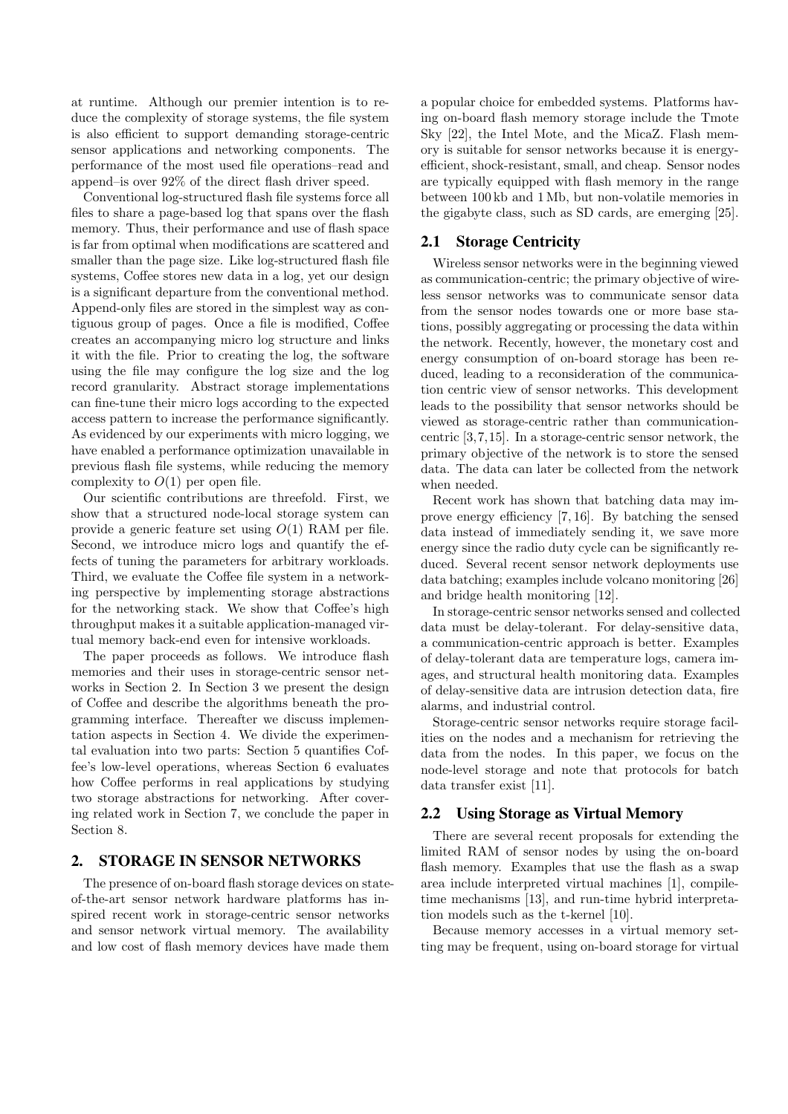at runtime. Although our premier intention is to reduce the complexity of storage systems, the file system is also efficient to support demanding storage-centric sensor applications and networking components. The performance of the most used file operations–read and append–is over 92% of the direct flash driver speed.

Conventional log-structured flash file systems force all files to share a page-based log that spans over the flash memory. Thus, their performance and use of flash space is far from optimal when modifications are scattered and smaller than the page size. Like log-structured flash file systems, Coffee stores new data in a log, yet our design is a significant departure from the conventional method. Append-only files are stored in the simplest way as contiguous group of pages. Once a file is modified, Coffee creates an accompanying micro log structure and links it with the file. Prior to creating the log, the software using the file may configure the log size and the log record granularity. Abstract storage implementations can fine-tune their micro logs according to the expected access pattern to increase the performance significantly. As evidenced by our experiments with micro logging, we have enabled a performance optimization unavailable in previous flash file systems, while reducing the memory complexity to  $O(1)$  per open file.

Our scientific contributions are threefold. First, we show that a structured node-local storage system can provide a generic feature set using  $O(1)$  RAM per file. Second, we introduce micro logs and quantify the effects of tuning the parameters for arbitrary workloads. Third, we evaluate the Coffee file system in a networking perspective by implementing storage abstractions for the networking stack. We show that Coffee's high throughput makes it a suitable application-managed virtual memory back-end even for intensive workloads.

The paper proceeds as follows. We introduce flash memories and their uses in storage-centric sensor networks in Section 2. In Section 3 we present the design of Coffee and describe the algorithms beneath the programming interface. Thereafter we discuss implementation aspects in Section 4. We divide the experimental evaluation into two parts: Section 5 quantifies Coffee's low-level operations, whereas Section 6 evaluates how Coffee performs in real applications by studying two storage abstractions for networking. After covering related work in Section 7, we conclude the paper in Section 8.

### 2. STORAGE IN SENSOR NETWORKS

The presence of on-board flash storage devices on stateof-the-art sensor network hardware platforms has inspired recent work in storage-centric sensor networks and sensor network virtual memory. The availability and low cost of flash memory devices have made them

a popular choice for embedded systems. Platforms having on-board flash memory storage include the Tmote Sky [22], the Intel Mote, and the MicaZ. Flash memory is suitable for sensor networks because it is energyefficient, shock-resistant, small, and cheap. Sensor nodes are typically equipped with flash memory in the range between 100 kb and 1 Mb, but non-volatile memories in the gigabyte class, such as SD cards, are emerging [25].

## 2.1 Storage Centricity

Wireless sensor networks were in the beginning viewed as communication-centric; the primary objective of wireless sensor networks was to communicate sensor data from the sensor nodes towards one or more base stations, possibly aggregating or processing the data within the network. Recently, however, the monetary cost and energy consumption of on-board storage has been reduced, leading to a reconsideration of the communication centric view of sensor networks. This development leads to the possibility that sensor networks should be viewed as storage-centric rather than communicationcentric [3,7,15]. In a storage-centric sensor network, the primary objective of the network is to store the sensed data. The data can later be collected from the network when needed.

Recent work has shown that batching data may improve energy efficiency [7, 16]. By batching the sensed data instead of immediately sending it, we save more energy since the radio duty cycle can be significantly reduced. Several recent sensor network deployments use data batching; examples include volcano monitoring [26] and bridge health monitoring [12].

In storage-centric sensor networks sensed and collected data must be delay-tolerant. For delay-sensitive data, a communication-centric approach is better. Examples of delay-tolerant data are temperature logs, camera images, and structural health monitoring data. Examples of delay-sensitive data are intrusion detection data, fire alarms, and industrial control.

Storage-centric sensor networks require storage facilities on the nodes and a mechanism for retrieving the data from the nodes. In this paper, we focus on the node-level storage and note that protocols for batch data transfer exist [11].

#### 2.2 Using Storage as Virtual Memory

There are several recent proposals for extending the limited RAM of sensor nodes by using the on-board flash memory. Examples that use the flash as a swap area include interpreted virtual machines [1], compiletime mechanisms [13], and run-time hybrid interpretation models such as the t-kernel [10].

Because memory accesses in a virtual memory setting may be frequent, using on-board storage for virtual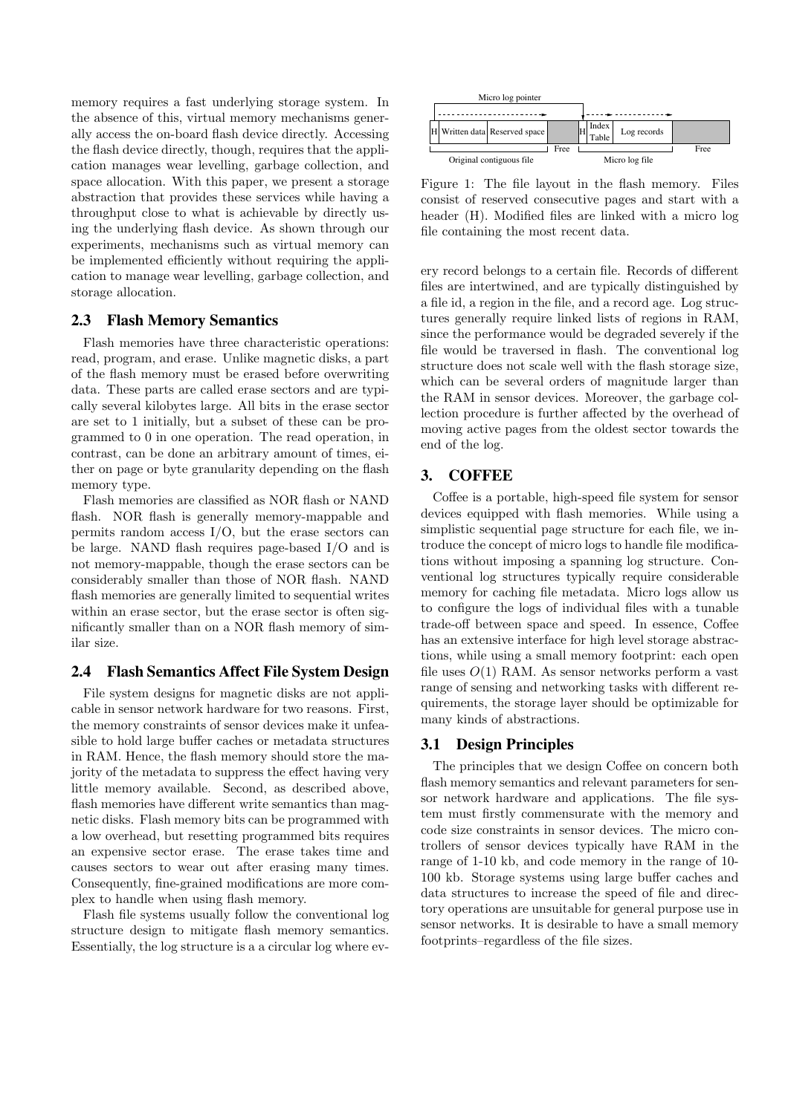memory requires a fast underlying storage system. In the absence of this, virtual memory mechanisms generally access the on-board flash device directly. Accessing the flash device directly, though, requires that the application manages wear levelling, garbage collection, and space allocation. With this paper, we present a storage abstraction that provides these services while having a throughput close to what is achievable by directly using the underlying flash device. As shown through our experiments, mechanisms such as virtual memory can be implemented efficiently without requiring the application to manage wear levelling, garbage collection, and storage allocation.

#### 2.3 Flash Memory Semantics

Flash memories have three characteristic operations: read, program, and erase. Unlike magnetic disks, a part of the flash memory must be erased before overwriting data. These parts are called erase sectors and are typically several kilobytes large. All bits in the erase sector are set to 1 initially, but a subset of these can be programmed to 0 in one operation. The read operation, in contrast, can be done an arbitrary amount of times, either on page or byte granularity depending on the flash memory type.

Flash memories are classified as NOR flash or NAND flash. NOR flash is generally memory-mappable and permits random access I/O, but the erase sectors can be large. NAND flash requires page-based I/O and is not memory-mappable, though the erase sectors can be considerably smaller than those of NOR flash. NAND flash memories are generally limited to sequential writes within an erase sector, but the erase sector is often significantly smaller than on a NOR flash memory of similar size.

## 2.4 Flash Semantics Affect File System Design

File system designs for magnetic disks are not applicable in sensor network hardware for two reasons. First, the memory constraints of sensor devices make it unfeasible to hold large buffer caches or metadata structures in RAM. Hence, the flash memory should store the majority of the metadata to suppress the effect having very little memory available. Second, as described above, flash memories have different write semantics than magnetic disks. Flash memory bits can be programmed with a low overhead, but resetting programmed bits requires an expensive sector erase. The erase takes time and causes sectors to wear out after erasing many times. Consequently, fine-grained modifications are more complex to handle when using flash memory.

Flash file systems usually follow the conventional log structure design to mitigate flash memory semantics. Essentially, the log structure is a a circular log where ev-



Figure 1: The file layout in the flash memory. Files consist of reserved consecutive pages and start with a header (H). Modified files are linked with a micro log file containing the most recent data.

ery record belongs to a certain file. Records of different files are intertwined, and are typically distinguished by a file id, a region in the file, and a record age. Log structures generally require linked lists of regions in RAM, since the performance would be degraded severely if the file would be traversed in flash. The conventional log structure does not scale well with the flash storage size, which can be several orders of magnitude larger than the RAM in sensor devices. Moreover, the garbage collection procedure is further affected by the overhead of moving active pages from the oldest sector towards the end of the log.

# 3. COFFEE

Coffee is a portable, high-speed file system for sensor devices equipped with flash memories. While using a simplistic sequential page structure for each file, we introduce the concept of micro logs to handle file modifications without imposing a spanning log structure. Conventional log structures typically require considerable memory for caching file metadata. Micro logs allow us to configure the logs of individual files with a tunable trade-off between space and speed. In essence, Coffee has an extensive interface for high level storage abstractions, while using a small memory footprint: each open file uses  $O(1)$  RAM. As sensor networks perform a vast range of sensing and networking tasks with different requirements, the storage layer should be optimizable for many kinds of abstractions.

## 3.1 Design Principles

The principles that we design Coffee on concern both flash memory semantics and relevant parameters for sensor network hardware and applications. The file system must firstly commensurate with the memory and code size constraints in sensor devices. The micro controllers of sensor devices typically have RAM in the range of 1-10 kb, and code memory in the range of 10- 100 kb. Storage systems using large buffer caches and data structures to increase the speed of file and directory operations are unsuitable for general purpose use in sensor networks. It is desirable to have a small memory footprints–regardless of the file sizes.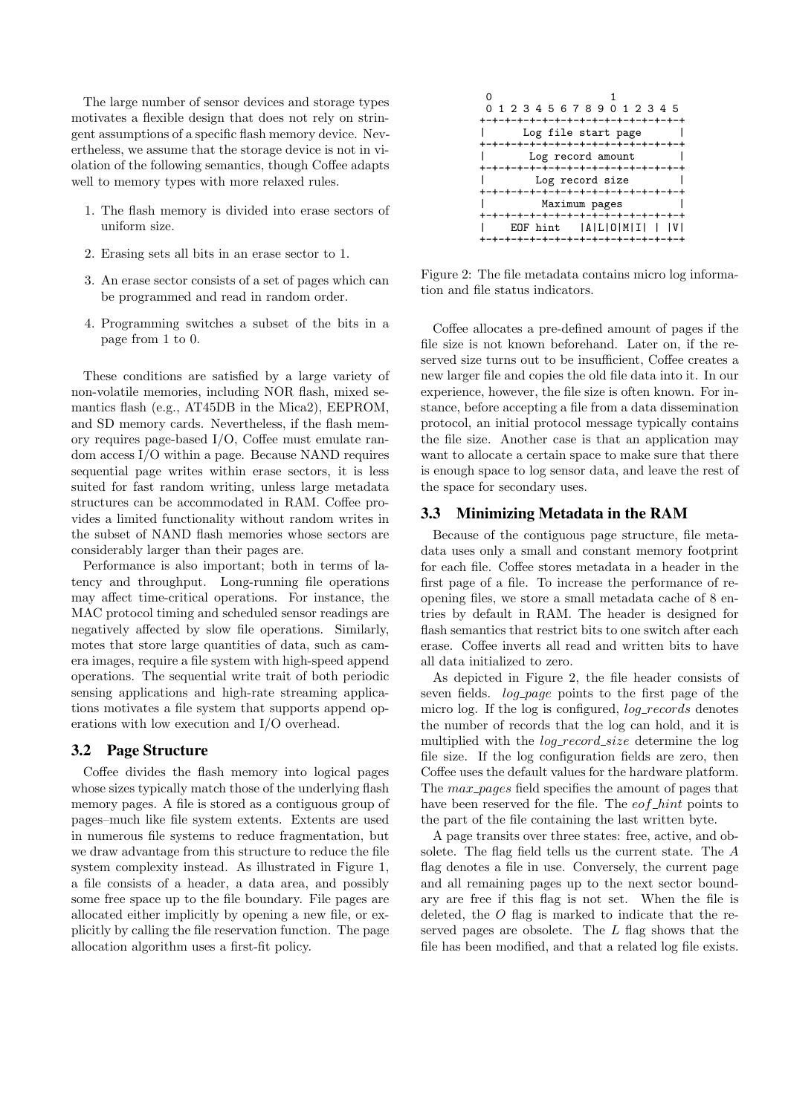The large number of sensor devices and storage types motivates a flexible design that does not rely on stringent assumptions of a specific flash memory device. Nevertheless, we assume that the storage device is not in violation of the following semantics, though Coffee adapts well to memory types with more relaxed rules.

- 1. The flash memory is divided into erase sectors of uniform size.
- 2. Erasing sets all bits in an erase sector to 1.
- 3. An erase sector consists of a set of pages which can be programmed and read in random order.
- 4. Programming switches a subset of the bits in a page from 1 to 0.

These conditions are satisfied by a large variety of non-volatile memories, including NOR flash, mixed semantics flash (e.g., AT45DB in the Mica2), EEPROM, and SD memory cards. Nevertheless, if the flash memory requires page-based I/O, Coffee must emulate random access I/O within a page. Because NAND requires sequential page writes within erase sectors, it is less suited for fast random writing, unless large metadata structures can be accommodated in RAM. Coffee provides a limited functionality without random writes in the subset of NAND flash memories whose sectors are considerably larger than their pages are.

Performance is also important; both in terms of latency and throughput. Long-running file operations may affect time-critical operations. For instance, the MAC protocol timing and scheduled sensor readings are negatively affected by slow file operations. Similarly, motes that store large quantities of data, such as camera images, require a file system with high-speed append operations. The sequential write trait of both periodic sensing applications and high-rate streaming applications motivates a file system that supports append operations with low execution and I/O overhead.

#### 3.2 Page Structure

Coffee divides the flash memory into logical pages whose sizes typically match those of the underlying flash memory pages. A file is stored as a contiguous group of pages–much like file system extents. Extents are used in numerous file systems to reduce fragmentation, but we draw advantage from this structure to reduce the file system complexity instead. As illustrated in Figure 1, a file consists of a header, a data area, and possibly some free space up to the file boundary. File pages are allocated either implicitly by opening a new file, or explicitly by calling the file reservation function. The page allocation algorithm uses a first-fit policy.



Figure 2: The file metadata contains micro log information and file status indicators.

Coffee allocates a pre-defined amount of pages if the file size is not known beforehand. Later on, if the reserved size turns out to be insufficient, Coffee creates a new larger file and copies the old file data into it. In our experience, however, the file size is often known. For instance, before accepting a file from a data dissemination protocol, an initial protocol message typically contains the file size. Another case is that an application may want to allocate a certain space to make sure that there is enough space to log sensor data, and leave the rest of the space for secondary uses.

#### 3.3 Minimizing Metadata in the RAM

Because of the contiguous page structure, file metadata uses only a small and constant memory footprint for each file. Coffee stores metadata in a header in the first page of a file. To increase the performance of reopening files, we store a small metadata cache of 8 entries by default in RAM. The header is designed for flash semantics that restrict bits to one switch after each erase. Coffee inverts all read and written bits to have all data initialized to zero.

As depicted in Figure 2, the file header consists of seven fields. *log-page* points to the first page of the micro log. If the log is configured, *log\_records* denotes the number of records that the log can hold, and it is multiplied with the *log\_record\_size* determine the log file size. If the log configuration fields are zero, then Coffee uses the default values for the hardware platform. The  $max\_pages$  field specifies the amount of pages that have been reserved for the file. The  $eof\_hint$  points to the part of the file containing the last written byte.

A page transits over three states: free, active, and obsolete. The flag field tells us the current state. The A flag denotes a file in use. Conversely, the current page and all remaining pages up to the next sector boundary are free if this flag is not set. When the file is deleted, the O flag is marked to indicate that the reserved pages are obsolete. The L flag shows that the file has been modified, and that a related log file exists.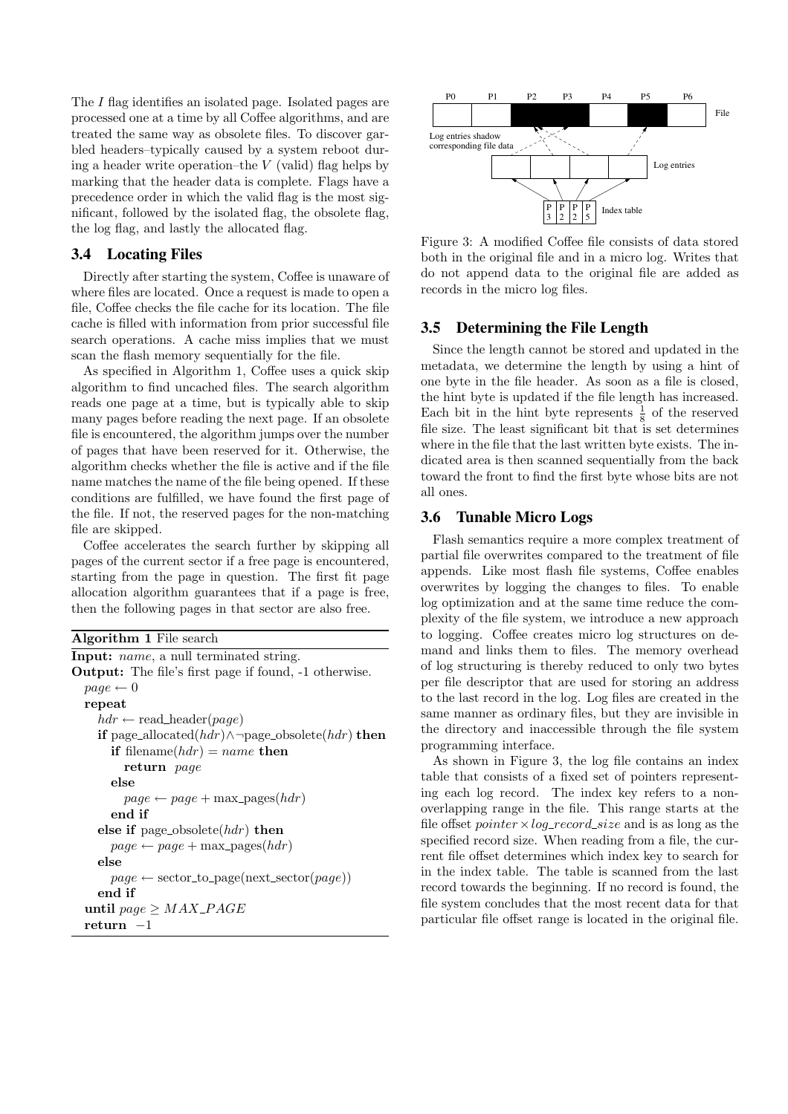The I flag identifies an isolated page. Isolated pages are processed one at a time by all Coffee algorithms, and are treated the same way as obsolete files. To discover garbled headers–typically caused by a system reboot during a header write operation–the  $V$  (valid) flag helps by marking that the header data is complete. Flags have a precedence order in which the valid flag is the most significant, followed by the isolated flag, the obsolete flag, the log flag, and lastly the allocated flag.

## 3.4 Locating Files

Directly after starting the system, Coffee is unaware of where files are located. Once a request is made to open a file, Coffee checks the file cache for its location. The file cache is filled with information from prior successful file search operations. A cache miss implies that we must scan the flash memory sequentially for the file.

As specified in Algorithm 1, Coffee uses a quick skip algorithm to find uncached files. The search algorithm reads one page at a time, but is typically able to skip many pages before reading the next page. If an obsolete file is encountered, the algorithm jumps over the number of pages that have been reserved for it. Otherwise, the algorithm checks whether the file is active and if the file name matches the name of the file being opened. If these conditions are fulfilled, we have found the first page of the file. If not, the reserved pages for the non-matching file are skipped.

Coffee accelerates the search further by skipping all pages of the current sector if a free page is encountered, starting from the page in question. The first fit page allocation algorithm guarantees that if a page is free, then the following pages in that sector are also free.

```
Algorithm 1 File search
Input: name, a null terminated string.
Output: The file's first page if found, -1 otherwise.
  page \leftarrow 0repeat
     hdr \leftarrow \text{read\_header}(page)if page_allocated(hdr)∧¬page_obsolete(hdr) then
       if filename(hdr) = name then
         return page
       else
         page \leftarrow page + \text{max\_pages}(hdr)end if
     else if page_obsolete(hdr) then
       page \leftarrow page + \text{max\_pages}(hdr)else
       page \leftarrow sector_to-page(next\_sector(page))end if
  until page \geq MAX\_PAGEreturn −1
```


Figure 3: A modified Coffee file consists of data stored both in the original file and in a micro log. Writes that do not append data to the original file are added as records in the micro log files.

## 3.5 Determining the File Length

Since the length cannot be stored and updated in the metadata, we determine the length by using a hint of one byte in the file header. As soon as a file is closed, the hint byte is updated if the file length has increased. Each bit in the hint byte represents  $\frac{1}{8}$  of the reserved file size. The least significant bit that is set determines where in the file that the last written byte exists. The indicated area is then scanned sequentially from the back toward the front to find the first byte whose bits are not all ones.

## 3.6 Tunable Micro Logs

Flash semantics require a more complex treatment of partial file overwrites compared to the treatment of file appends. Like most flash file systems, Coffee enables overwrites by logging the changes to files. To enable log optimization and at the same time reduce the complexity of the file system, we introduce a new approach to logging. Coffee creates micro log structures on demand and links them to files. The memory overhead of log structuring is thereby reduced to only two bytes per file descriptor that are used for storing an address to the last record in the log. Log files are created in the same manner as ordinary files, but they are invisible in the directory and inaccessible through the file system programming interface.

As shown in Figure 3, the log file contains an index table that consists of a fixed set of pointers representing each log record. The index key refers to a nonoverlapping range in the file. This range starts at the file offset *pointer*  $\times$  *log\_record\_size* and is as long as the specified record size. When reading from a file, the current file offset determines which index key to search for in the index table. The table is scanned from the last record towards the beginning. If no record is found, the file system concludes that the most recent data for that particular file offset range is located in the original file.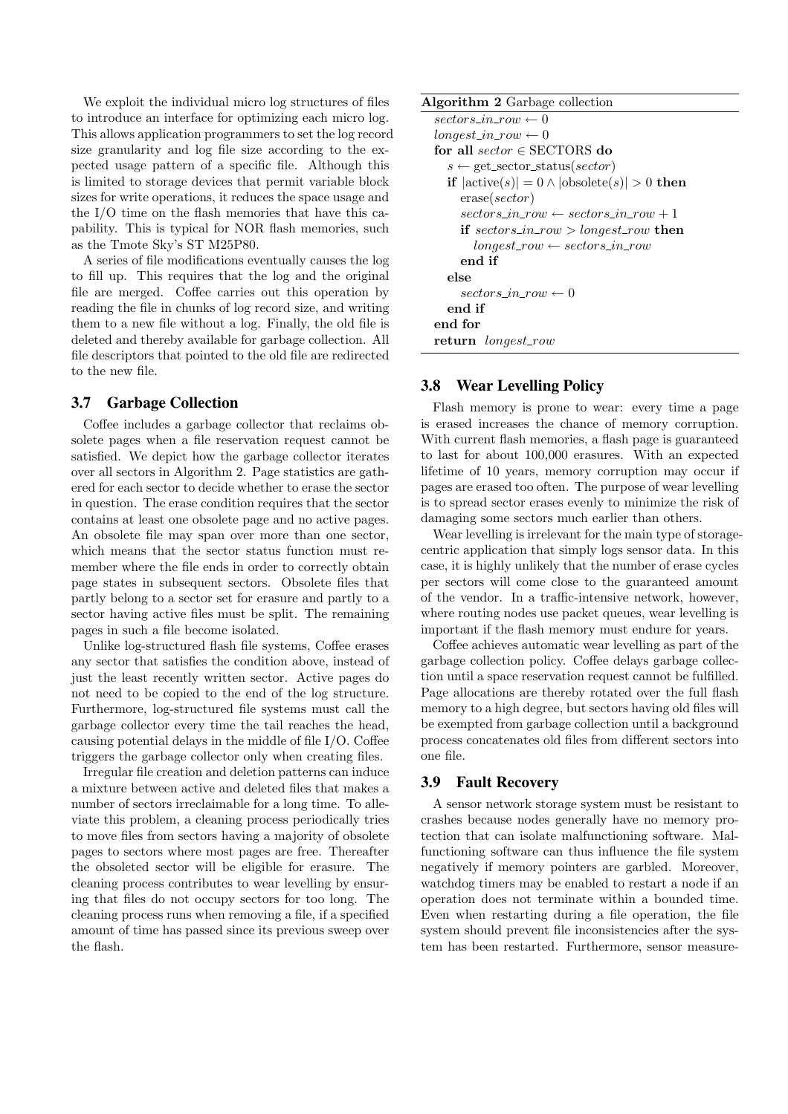We exploit the individual micro log structures of files to introduce an interface for optimizing each micro log. This allows application programmers to set the log record size granularity and log file size according to the expected usage pattern of a specific file. Although this is limited to storage devices that permit variable block sizes for write operations, it reduces the space usage and the I/O time on the flash memories that have this capability. This is typical for NOR flash memories, such as the Tmote Sky's ST M25P80.

A series of file modifications eventually causes the log to fill up. This requires that the log and the original file are merged. Coffee carries out this operation by reading the file in chunks of log record size, and writing them to a new file without a log. Finally, the old file is deleted and thereby available for garbage collection. All file descriptors that pointed to the old file are redirected to the new file.

## 3.7 Garbage Collection

Coffee includes a garbage collector that reclaims obsolete pages when a file reservation request cannot be satisfied. We depict how the garbage collector iterates over all sectors in Algorithm 2. Page statistics are gathered for each sector to decide whether to erase the sector in question. The erase condition requires that the sector contains at least one obsolete page and no active pages. An obsolete file may span over more than one sector, which means that the sector status function must remember where the file ends in order to correctly obtain page states in subsequent sectors. Obsolete files that partly belong to a sector set for erasure and partly to a sector having active files must be split. The remaining pages in such a file become isolated.

Unlike log-structured flash file systems, Coffee erases any sector that satisfies the condition above, instead of just the least recently written sector. Active pages do not need to be copied to the end of the log structure. Furthermore, log-structured file systems must call the garbage collector every time the tail reaches the head, causing potential delays in the middle of file I/O. Coffee triggers the garbage collector only when creating files.

Irregular file creation and deletion patterns can induce a mixture between active and deleted files that makes a number of sectors irreclaimable for a long time. To alleviate this problem, a cleaning process periodically tries to move files from sectors having a majority of obsolete pages to sectors where most pages are free. Thereafter the obsoleted sector will be eligible for erasure. The cleaning process contributes to wear levelling by ensuring that files do not occupy sectors for too long. The cleaning process runs when removing a file, if a specified amount of time has passed since its previous sweep over the flash.

| <b>Algorithm 2</b> Garbage collection                           |
|-----------------------------------------------------------------|
| $sectors_in\_row \leftarrow 0$                                  |
| $longest\_in\_row \leftarrow 0$                                 |
| for all sector $\in$ SECTORS do                                 |
| $s \leftarrow get\_sector\_status(sector)$                      |
| if $ \text{active}(s)  = 0 \land  \text{obsolete}(s)  > 0$ then |
| erase( <i>sector</i> )                                          |
| $sectors_in\_row \leftarrow sectors_in\_row + 1$                |
| if sectors_in_row > longest_row then                            |
| $longest\_row \leftarrow sectors\_in\_row$                      |
| end if                                                          |
| else                                                            |
| sectors in row $\leftarrow 0$                                   |
| end if                                                          |
| end for                                                         |
| return <i>longest_row</i>                                       |

## 3.8 Wear Levelling Policy

Flash memory is prone to wear: every time a page is erased increases the chance of memory corruption. With current flash memories, a flash page is guaranteed to last for about 100,000 erasures. With an expected lifetime of 10 years, memory corruption may occur if pages are erased too often. The purpose of wear levelling is to spread sector erases evenly to minimize the risk of damaging some sectors much earlier than others.

Wear levelling is irrelevant for the main type of storagecentric application that simply logs sensor data. In this case, it is highly unlikely that the number of erase cycles per sectors will come close to the guaranteed amount of the vendor. In a traffic-intensive network, however, where routing nodes use packet queues, wear levelling is important if the flash memory must endure for years.

Coffee achieves automatic wear levelling as part of the garbage collection policy. Coffee delays garbage collection until a space reservation request cannot be fulfilled. Page allocations are thereby rotated over the full flash memory to a high degree, but sectors having old files will be exempted from garbage collection until a background process concatenates old files from different sectors into one file.

## 3.9 Fault Recovery

A sensor network storage system must be resistant to crashes because nodes generally have no memory protection that can isolate malfunctioning software. Malfunctioning software can thus influence the file system negatively if memory pointers are garbled. Moreover, watchdog timers may be enabled to restart a node if an operation does not terminate within a bounded time. Even when restarting during a file operation, the file system should prevent file inconsistencies after the system has been restarted. Furthermore, sensor measure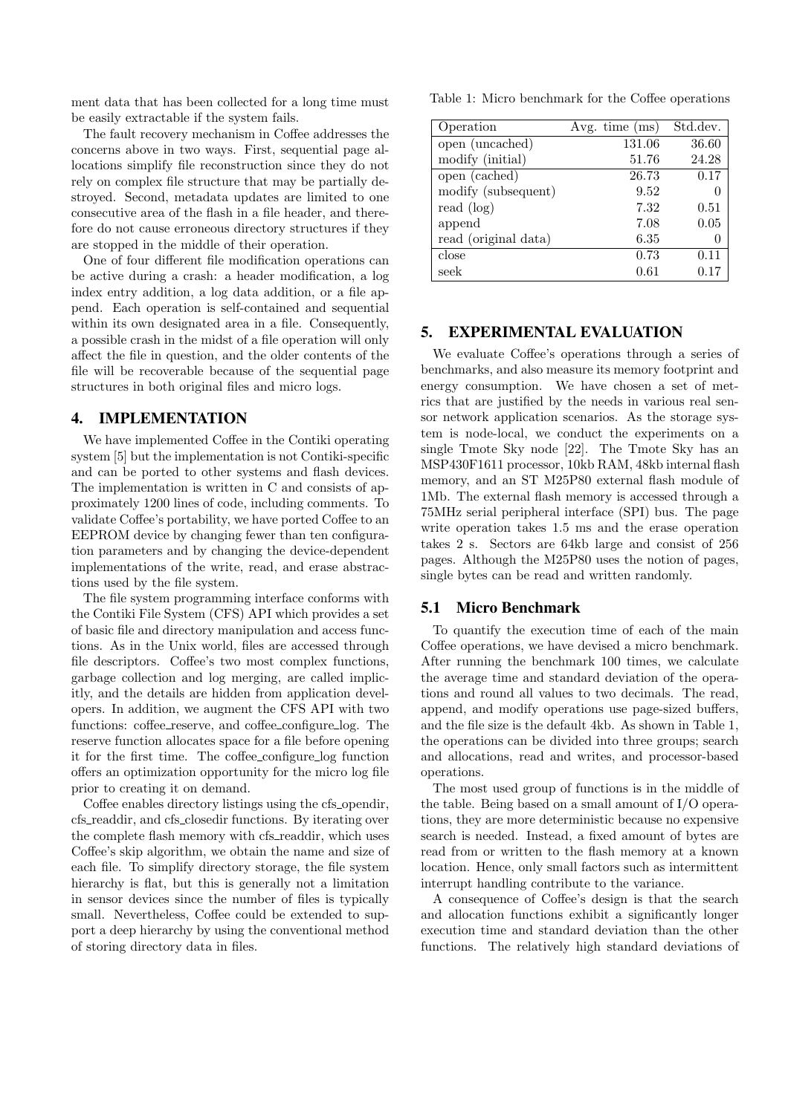ment data that has been collected for a long time must be easily extractable if the system fails.

The fault recovery mechanism in Coffee addresses the concerns above in two ways. First, sequential page allocations simplify file reconstruction since they do not rely on complex file structure that may be partially destroyed. Second, metadata updates are limited to one consecutive area of the flash in a file header, and therefore do not cause erroneous directory structures if they are stopped in the middle of their operation.

One of four different file modification operations can be active during a crash: a header modification, a log index entry addition, a log data addition, or a file append. Each operation is self-contained and sequential within its own designated area in a file. Consequently, a possible crash in the midst of a file operation will only affect the file in question, and the older contents of the file will be recoverable because of the sequential page structures in both original files and micro logs.

#### 4. IMPLEMENTATION

We have implemented Coffee in the Contiki operating system [5] but the implementation is not Contiki-specific and can be ported to other systems and flash devices. The implementation is written in C and consists of approximately 1200 lines of code, including comments. To validate Coffee's portability, we have ported Coffee to an EEPROM device by changing fewer than ten configuration parameters and by changing the device-dependent implementations of the write, read, and erase abstractions used by the file system.

The file system programming interface conforms with the Contiki File System (CFS) API which provides a set of basic file and directory manipulation and access functions. As in the Unix world, files are accessed through file descriptors. Coffee's two most complex functions, garbage collection and log merging, are called implicitly, and the details are hidden from application developers. In addition, we augment the CFS API with two functions: coffee\_reserve, and coffee\_configure\_log. The reserve function allocates space for a file before opening it for the first time. The coffee configure log function offers an optimization opportunity for the micro log file prior to creating it on demand.

Coffee enables directory listings using the cfs\_opendir, cfs readdir, and cfs closedir functions. By iterating over the complete flash memory with cfs\_readdir, which uses Coffee's skip algorithm, we obtain the name and size of each file. To simplify directory storage, the file system hierarchy is flat, but this is generally not a limitation in sensor devices since the number of files is typically small. Nevertheless, Coffee could be extended to support a deep hierarchy by using the conventional method of storing directory data in files.

Table 1: Micro benchmark for the Coffee operations

| Operation            | Avg. time $(ms)$ | Std.dev. |
|----------------------|------------------|----------|
| open (uncached)      | 131.06           | 36.60    |
| modify (initial)     | 51.76            | 24.28    |
| open (cached)        | 26.73            | 0.17     |
| modify (subsequent)  | 9.52             |          |
| read (log)           | 7.32             | 0.51     |
| append               | 7.08             | 0.05     |
| read (original data) | 6.35             |          |
| close                | 0.73             | 0.11     |
| seek                 | 0.61             | 0.17     |

## 5. EXPERIMENTAL EVALUATION

We evaluate Coffee's operations through a series of benchmarks, and also measure its memory footprint and energy consumption. We have chosen a set of metrics that are justified by the needs in various real sensor network application scenarios. As the storage system is node-local, we conduct the experiments on a single Tmote Sky node [22]. The Tmote Sky has an MSP430F1611 processor, 10kb RAM, 48kb internal flash memory, and an ST M25P80 external flash module of 1Mb. The external flash memory is accessed through a 75MHz serial peripheral interface (SPI) bus. The page write operation takes 1.5 ms and the erase operation takes 2 s. Sectors are 64kb large and consist of 256 pages. Although the M25P80 uses the notion of pages, single bytes can be read and written randomly.

## 5.1 Micro Benchmark

To quantify the execution time of each of the main Coffee operations, we have devised a micro benchmark. After running the benchmark 100 times, we calculate the average time and standard deviation of the operations and round all values to two decimals. The read, append, and modify operations use page-sized buffers, and the file size is the default 4kb. As shown in Table 1, the operations can be divided into three groups; search and allocations, read and writes, and processor-based operations.

The most used group of functions is in the middle of the table. Being based on a small amount of I/O operations, they are more deterministic because no expensive search is needed. Instead, a fixed amount of bytes are read from or written to the flash memory at a known location. Hence, only small factors such as intermittent interrupt handling contribute to the variance.

A consequence of Coffee's design is that the search and allocation functions exhibit a significantly longer execution time and standard deviation than the other functions. The relatively high standard deviations of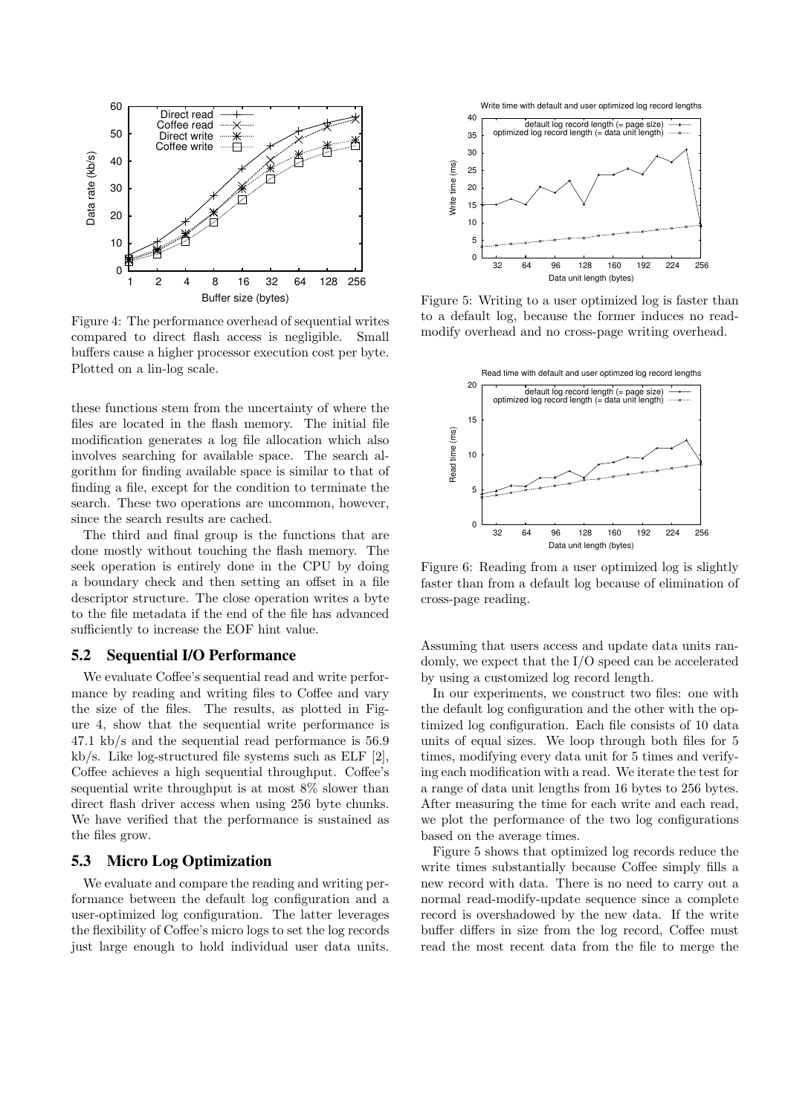

Figure 4: The performance overhead of sequential writes compared to direct flash access is negligible. Small buffers cause a higher processor execution cost per byte. Plotted on a lin-log scale.

these functions stem from the uncertainty of where the files are located in the flash memory. The initial file modification generates a log file allocation which also involves searching for available space. The search algorithm for finding available space is similar to that of finding a file, except for the condition to terminate the search. These two operations are uncommon, however, since the search results are cached.

The third and final group is the functions that are done mostly without touching the flash memory. The seek operation is entirely done in the CPU by doing a boundary check and then setting an offset in a file descriptor structure. The close operation writes a byte to the file metadata if the end of the file has advanced sufficiently to increase the EOF hint value.

#### 5.2 Sequential I/O Performance

We evaluate Coffee's sequential read and write performance by reading and writing files to Coffee and vary the size of the files. The results, as plotted in Figure 4, show that the sequential write performance is 47.1 kb/s and the sequential read performance is 56.9 kb/s. Like log-structured file systems such as ELF [2], Coffee achieves a high sequential throughput. Coffee's sequential write throughput is at most 8% slower than direct flash driver access when using 256 byte chunks. We have verified that the performance is sustained as the files grow.

#### 5.3 Micro Log Optimization

We evaluate and compare the reading and writing performance between the default log configuration and a user-optimized log configuration. The latter leverages the flexibility of Coffee's micro logs to set the log records just large enough to hold individual user data units.





Figure 5: Writing to a user optimized log is faster than to a default log, because the former induces no readmodify overhead and no cross-page writing overhead.



Figure 6: Reading from a user optimized log is slightly faster than from a default log because of elimination of cross-page reading.

Assuming that users access and update data units randomly, we expect that the I/O speed can be accelerated by using a customized log record length.

In our experiments, we construct two files: one with the default log configuration and the other with the optimized log configuration. Each file consists of 10 data units of equal sizes. We loop through both files for 5 times, modifying every data unit for 5 times and verifying each modification with a read. We iterate the test for a range of data unit lengths from 16 bytes to 256 bytes. After measuring the time for each write and each read, we plot the performance of the two log configurations based on the average times.

Figure 5 shows that optimized log records reduce the write times substantially because Coffee simply fills a new record with data. There is no need to carry out a normal read-modify-update sequence since a complete record is overshadowed by the new data. If the write buffer differs in size from the log record, Coffee must read the most recent data from the file to merge the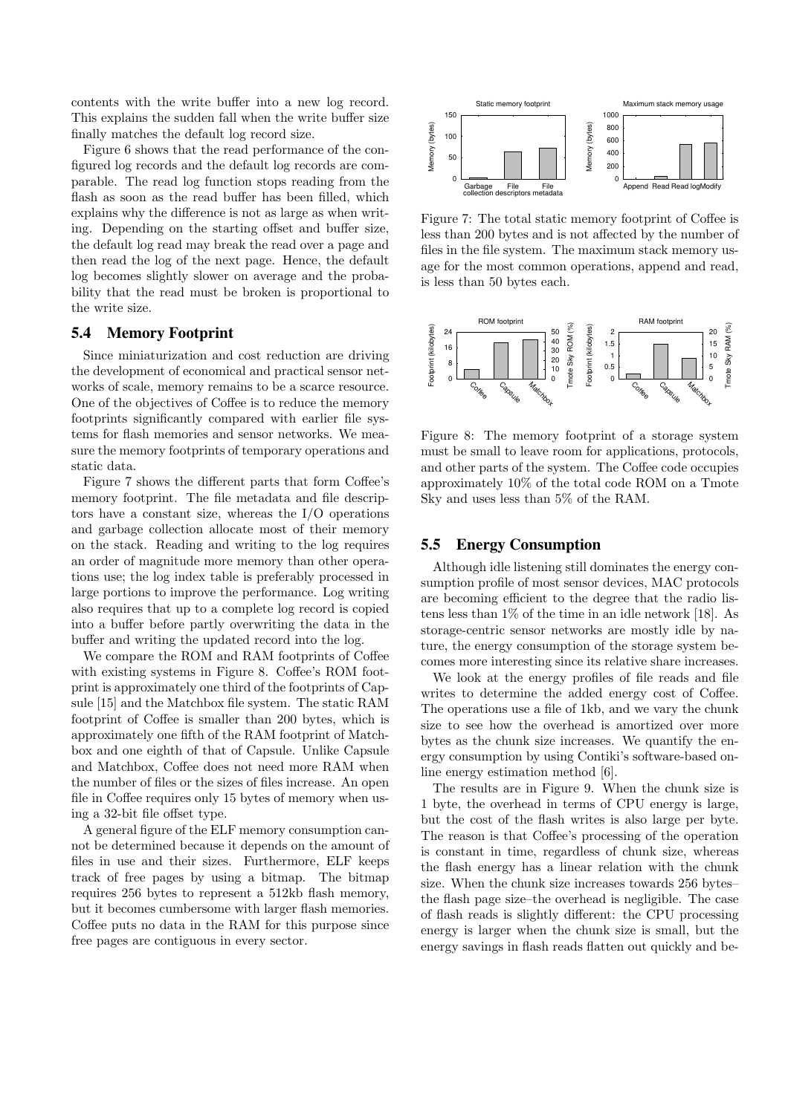contents with the write buffer into a new log record. This explains the sudden fall when the write buffer size finally matches the default log record size.

Figure 6 shows that the read performance of the configured log records and the default log records are comparable. The read log function stops reading from the flash as soon as the read buffer has been filled, which explains why the difference is not as large as when writing. Depending on the starting offset and buffer size, the default log read may break the read over a page and then read the log of the next page. Hence, the default log becomes slightly slower on average and the probability that the read must be broken is proportional to the write size.

#### 5.4 Memory Footprint

Since miniaturization and cost reduction are driving the development of economical and practical sensor networks of scale, memory remains to be a scarce resource. One of the objectives of Coffee is to reduce the memory footprints significantly compared with earlier file systems for flash memories and sensor networks. We measure the memory footprints of temporary operations and static data.

Figure 7 shows the different parts that form Coffee's memory footprint. The file metadata and file descriptors have a constant size, whereas the I/O operations and garbage collection allocate most of their memory on the stack. Reading and writing to the log requires an order of magnitude more memory than other operations use; the log index table is preferably processed in large portions to improve the performance. Log writing also requires that up to a complete log record is copied into a buffer before partly overwriting the data in the buffer and writing the updated record into the log.

We compare the ROM and RAM footprints of Coffee with existing systems in Figure 8. Coffee's ROM footprint is approximately one third of the footprints of Capsule [15] and the Matchbox file system. The static RAM footprint of Coffee is smaller than 200 bytes, which is approximately one fifth of the RAM footprint of Matchbox and one eighth of that of Capsule. Unlike Capsule and Matchbox, Coffee does not need more RAM when the number of files or the sizes of files increase. An open file in Coffee requires only 15 bytes of memory when using a 32-bit file offset type.

A general figure of the ELF memory consumption cannot be determined because it depends on the amount of files in use and their sizes. Furthermore, ELF keeps track of free pages by using a bitmap. The bitmap requires 256 bytes to represent a 512kb flash memory, but it becomes cumbersome with larger flash memories. Coffee puts no data in the RAM for this purpose since free pages are contiguous in every sector.



Figure 7: The total static memory footprint of Coffee is less than 200 bytes and is not affected by the number of files in the file system. The maximum stack memory usage for the most common operations, append and read, is less than 50 bytes each.



Figure 8: The memory footprint of a storage system must be small to leave room for applications, protocols, and other parts of the system. The Coffee code occupies approximately 10% of the total code ROM on a Tmote Sky and uses less than 5% of the RAM.

#### 5.5 Energy Consumption

Although idle listening still dominates the energy consumption profile of most sensor devices, MAC protocols are becoming efficient to the degree that the radio listens less than 1% of the time in an idle network [18]. As storage-centric sensor networks are mostly idle by nature, the energy consumption of the storage system becomes more interesting since its relative share increases.

We look at the energy profiles of file reads and file writes to determine the added energy cost of Coffee. The operations use a file of 1kb, and we vary the chunk size to see how the overhead is amortized over more bytes as the chunk size increases. We quantify the energy consumption by using Contiki's software-based online energy estimation method [6].

The results are in Figure 9. When the chunk size is 1 byte, the overhead in terms of CPU energy is large, but the cost of the flash writes is also large per byte. The reason is that Coffee's processing of the operation is constant in time, regardless of chunk size, whereas the flash energy has a linear relation with the chunk size. When the chunk size increases towards 256 bytes– the flash page size–the overhead is negligible. The case of flash reads is slightly different: the CPU processing energy is larger when the chunk size is small, but the energy savings in flash reads flatten out quickly and be-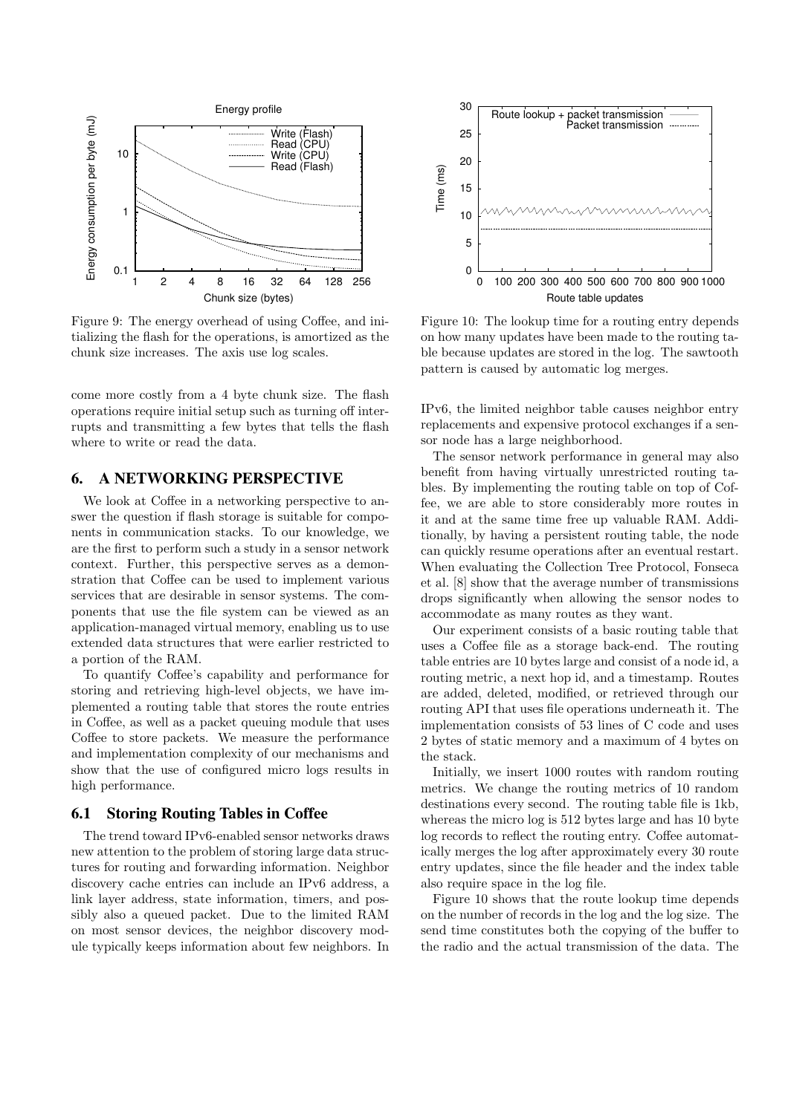

Figure 9: The energy overhead of using Coffee, and initializing the flash for the operations, is amortized as the chunk size increases. The axis use log scales.

come more costly from a 4 byte chunk size. The flash operations require initial setup such as turning off interrupts and transmitting a few bytes that tells the flash where to write or read the data.

#### 6. A NETWORKING PERSPECTIVE

We look at Coffee in a networking perspective to answer the question if flash storage is suitable for components in communication stacks. To our knowledge, we are the first to perform such a study in a sensor network context. Further, this perspective serves as a demonstration that Coffee can be used to implement various services that are desirable in sensor systems. The components that use the file system can be viewed as an application-managed virtual memory, enabling us to use extended data structures that were earlier restricted to a portion of the RAM.

To quantify Coffee's capability and performance for storing and retrieving high-level objects, we have implemented a routing table that stores the route entries in Coffee, as well as a packet queuing module that uses Coffee to store packets. We measure the performance and implementation complexity of our mechanisms and show that the use of configured micro logs results in high performance.

#### 6.1 Storing Routing Tables in Coffee

The trend toward IPv6-enabled sensor networks draws new attention to the problem of storing large data structures for routing and forwarding information. Neighbor discovery cache entries can include an IPv6 address, a link layer address, state information, timers, and possibly also a queued packet. Due to the limited RAM on most sensor devices, the neighbor discovery module typically keeps information about few neighbors. In



Figure 10: The lookup time for a routing entry depends on how many updates have been made to the routing table because updates are stored in the log. The sawtooth pattern is caused by automatic log merges.

IPv6, the limited neighbor table causes neighbor entry replacements and expensive protocol exchanges if a sensor node has a large neighborhood.

The sensor network performance in general may also benefit from having virtually unrestricted routing tables. By implementing the routing table on top of Coffee, we are able to store considerably more routes in it and at the same time free up valuable RAM. Additionally, by having a persistent routing table, the node can quickly resume operations after an eventual restart. When evaluating the Collection Tree Protocol, Fonseca et al. [8] show that the average number of transmissions drops significantly when allowing the sensor nodes to accommodate as many routes as they want.

Our experiment consists of a basic routing table that uses a Coffee file as a storage back-end. The routing table entries are 10 bytes large and consist of a node id, a routing metric, a next hop id, and a timestamp. Routes are added, deleted, modified, or retrieved through our routing API that uses file operations underneath it. The implementation consists of 53 lines of C code and uses 2 bytes of static memory and a maximum of 4 bytes on the stack.

Initially, we insert 1000 routes with random routing metrics. We change the routing metrics of 10 random destinations every second. The routing table file is 1kb, whereas the micro log is 512 bytes large and has 10 byte log records to reflect the routing entry. Coffee automatically merges the log after approximately every 30 route entry updates, since the file header and the index table also require space in the log file.

Figure 10 shows that the route lookup time depends on the number of records in the log and the log size. The send time constitutes both the copying of the buffer to the radio and the actual transmission of the data. The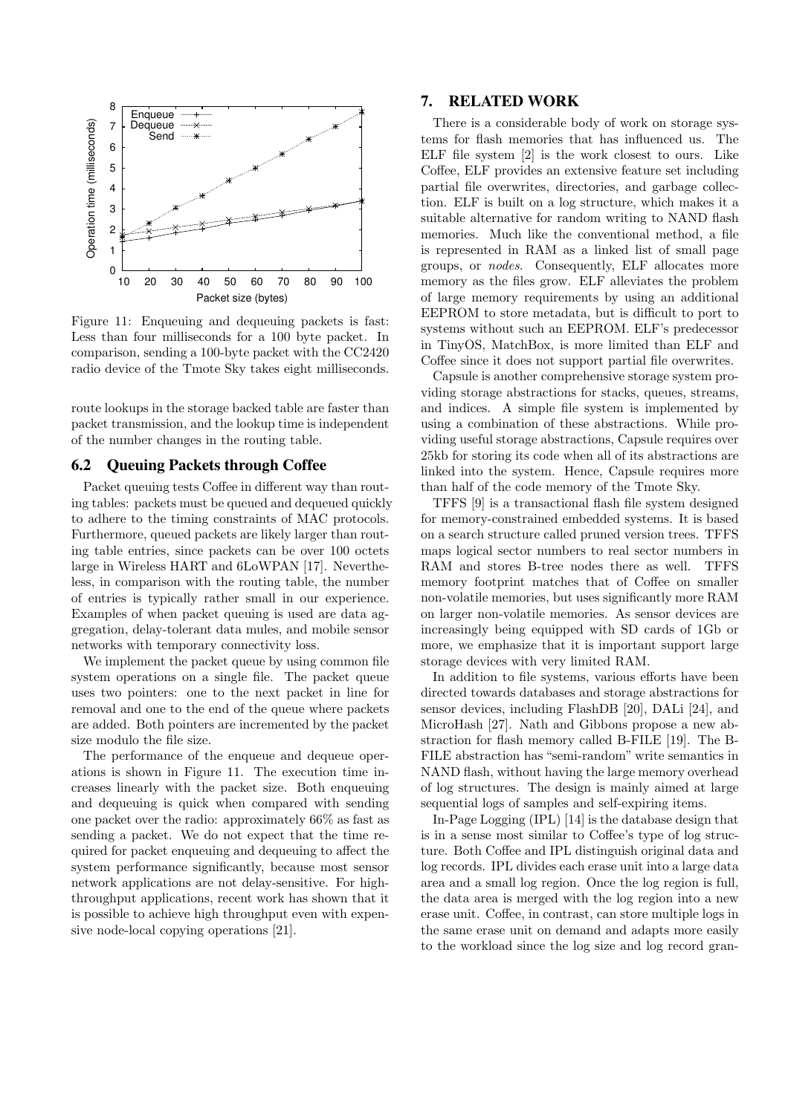

Figure 11: Enqueuing and dequeuing packets is fast: Less than four milliseconds for a 100 byte packet. In comparison, sending a 100-byte packet with the CC2420 radio device of the Tmote Sky takes eight milliseconds.

route lookups in the storage backed table are faster than packet transmission, and the lookup time is independent of the number changes in the routing table.

#### 6.2 Queuing Packets through Coffee

Packet queuing tests Coffee in different way than routing tables: packets must be queued and dequeued quickly to adhere to the timing constraints of MAC protocols. Furthermore, queued packets are likely larger than routing table entries, since packets can be over 100 octets large in Wireless HART and 6LoWPAN [17]. Nevertheless, in comparison with the routing table, the number of entries is typically rather small in our experience. Examples of when packet queuing is used are data aggregation, delay-tolerant data mules, and mobile sensor networks with temporary connectivity loss.

We implement the packet queue by using common file system operations on a single file. The packet queue uses two pointers: one to the next packet in line for removal and one to the end of the queue where packets are added. Both pointers are incremented by the packet size modulo the file size.

The performance of the enqueue and dequeue operations is shown in Figure 11. The execution time increases linearly with the packet size. Both enqueuing and dequeuing is quick when compared with sending one packet over the radio: approximately 66% as fast as sending a packet. We do not expect that the time required for packet enqueuing and dequeuing to affect the system performance significantly, because most sensor network applications are not delay-sensitive. For highthroughput applications, recent work has shown that it is possible to achieve high throughput even with expensive node-local copying operations [21].

## 7. RELATED WORK

There is a considerable body of work on storage systems for flash memories that has influenced us. The ELF file system [2] is the work closest to ours. Like Coffee, ELF provides an extensive feature set including partial file overwrites, directories, and garbage collection. ELF is built on a log structure, which makes it a suitable alternative for random writing to NAND flash memories. Much like the conventional method, a file is represented in RAM as a linked list of small page groups, or nodes. Consequently, ELF allocates more memory as the files grow. ELF alleviates the problem of large memory requirements by using an additional EEPROM to store metadata, but is difficult to port to systems without such an EEPROM. ELF's predecessor in TinyOS, MatchBox, is more limited than ELF and Coffee since it does not support partial file overwrites.

Capsule is another comprehensive storage system providing storage abstractions for stacks, queues, streams, and indices. A simple file system is implemented by using a combination of these abstractions. While providing useful storage abstractions, Capsule requires over 25kb for storing its code when all of its abstractions are linked into the system. Hence, Capsule requires more than half of the code memory of the Tmote Sky.

TFFS [9] is a transactional flash file system designed for memory-constrained embedded systems. It is based on a search structure called pruned version trees. TFFS maps logical sector numbers to real sector numbers in RAM and stores B-tree nodes there as well. TFFS memory footprint matches that of Coffee on smaller non-volatile memories, but uses significantly more RAM on larger non-volatile memories. As sensor devices are increasingly being equipped with SD cards of 1Gb or more, we emphasize that it is important support large storage devices with very limited RAM.

In addition to file systems, various efforts have been directed towards databases and storage abstractions for sensor devices, including FlashDB [20], DALi [24], and MicroHash [27]. Nath and Gibbons propose a new abstraction for flash memory called B-FILE [19]. The B-FILE abstraction has "semi-random" write semantics in NAND flash, without having the large memory overhead of log structures. The design is mainly aimed at large sequential logs of samples and self-expiring items.

In-Page Logging (IPL) [14] is the database design that is in a sense most similar to Coffee's type of log structure. Both Coffee and IPL distinguish original data and log records. IPL divides each erase unit into a large data area and a small log region. Once the log region is full, the data area is merged with the log region into a new erase unit. Coffee, in contrast, can store multiple logs in the same erase unit on demand and adapts more easily to the workload since the log size and log record gran